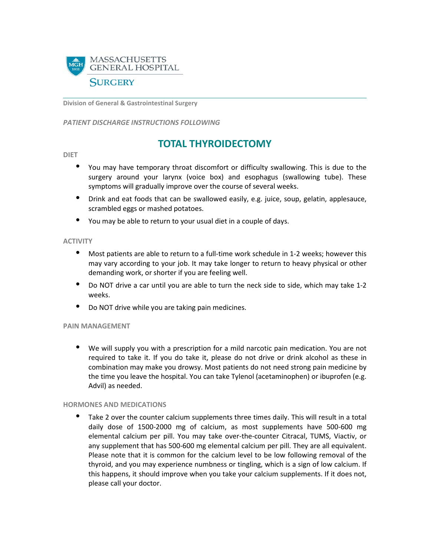

**Division of General & Gastrointestinal Surgery**

*PATIENT DISCHARGE INSTRUCTIONS FOLLOWING* 

# **TOTAL THYROIDECTOMY**

**DIET**

- You may have temporary throat discomfort or difficulty swallowing. This is due to the surgery around your larynx (voice box) and esophagus (swallowing tube). These symptoms will gradually improve over the course of several weeks.
- Drink and eat foods that can be swallowed easily, e.g. juice, soup, gelatin, applesauce, scrambled eggs or mashed potatoes.
- You may be able to return to your usual diet in a couple of days.

#### **ACTIVITY**

- Most patients are able to return to a full-time work schedule in 1-2 weeks; however this may vary according to your job. It may take longer to return to heavy physical or other demanding work, or shorter if you are feeling well.
- Do NOT drive a car until you are able to turn the neck side to side, which may take 1-2 weeks.
- Do NOT drive while you are taking pain medicines.

#### **PAIN MANAGEMENT**

• We will supply you with a prescription for a mild narcotic pain medication. You are not required to take it. If you do take it, please do not drive or drink alcohol as these in combination may make you drowsy. Most patients do not need strong pain medicine by the time you leave the hospital. You can take Tylenol (acetaminophen) or ibuprofen (e.g. Advil) as needed.

## **HORMONES AND MEDICATIONS**

Take 2 over the counter calcium supplements three times daily. This will result in a total daily dose of 1500-2000 mg of calcium, as most supplements have 500-600 mg elemental calcium per pill. You may take over-the-counter Citracal, TUMS, Viactiv, or any supplement that has 500-600 mg elemental calcium per pill. They are all equivalent. Please note that it is common for the calcium level to be low following removal of the thyroid, and you may experience numbness or tingling, which is a sign of low calcium. If this happens, it should improve when you take your calcium supplements. If it does not, please call your doctor.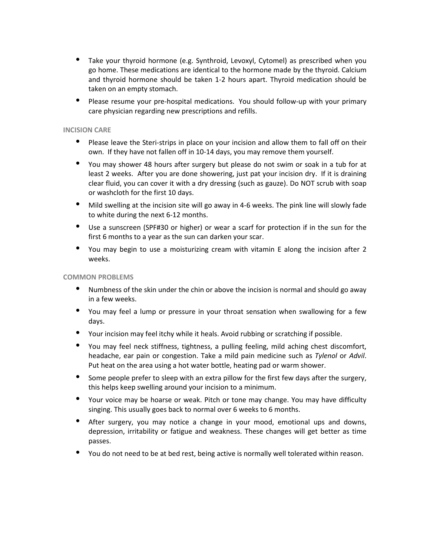- Take your thyroid hormone (e.g. Synthroid, Levoxyl, Cytomel) as prescribed when you go home. These medications are identical to the hormone made by the thyroid. Calcium and thyroid hormone should be taken 1-2 hours apart. Thyroid medication should be taken on an empty stomach.
- Please resume your pre-hospital medications. You should follow-up with your primary care physician regarding new prescriptions and refills.

#### **INCISION CARE**

- Please leave the Steri-strips in place on your incision and allow them to fall off on their own. If they have not fallen off in 10-14 days, you may remove them yourself.
- You may shower 48 hours after surgery but please do not swim or soak in a tub for at least 2 weeks. After you are done showering, just pat your incision dry. If it is draining clear fluid, you can cover it with a dry dressing (such as gauze). Do NOT scrub with soap or washcloth for the first 10 days.
- Mild swelling at the incision site will go away in 4-6 weeks. The pink line will slowly fade to white during the next 6-12 months.
- Use a sunscreen (SPF#30 or higher) or wear a scarf for protection if in the sun for the first 6 months to a year as the sun can darken your scar.
- You may begin to use a moisturizing cream with vitamin E along the incision after 2 weeks.

#### **COMMON PROBLEMS**

- Numbness of the skin under the chin or above the incision is normal and should go away in a few weeks.
- You may feel a lump or pressure in your throat sensation when swallowing for a few days.
- Your incision may feel itchy while it heals. Avoid rubbing or scratching if possible.
- You may feel neck stiffness, tightness, a pulling feeling, mild aching chest discomfort, headache, ear pain or congestion. Take a mild pain medicine such as *Tylenol* or *Advil*. Put heat on the area using a hot water bottle, heating pad or warm shower.
- Some people prefer to sleep with an extra pillow for the first few days after the surgery, this helps keep swelling around your incision to a minimum.
- Your voice may be hoarse or weak. Pitch or tone may change. You may have difficulty singing. This usually goes back to normal over 6 weeks to 6 months.
- After surgery, you may notice a change in your mood, emotional ups and downs, depression, irritability or fatigue and weakness. These changes will get better as time passes.
- You do not need to be at bed rest, being active is normally well tolerated within reason.